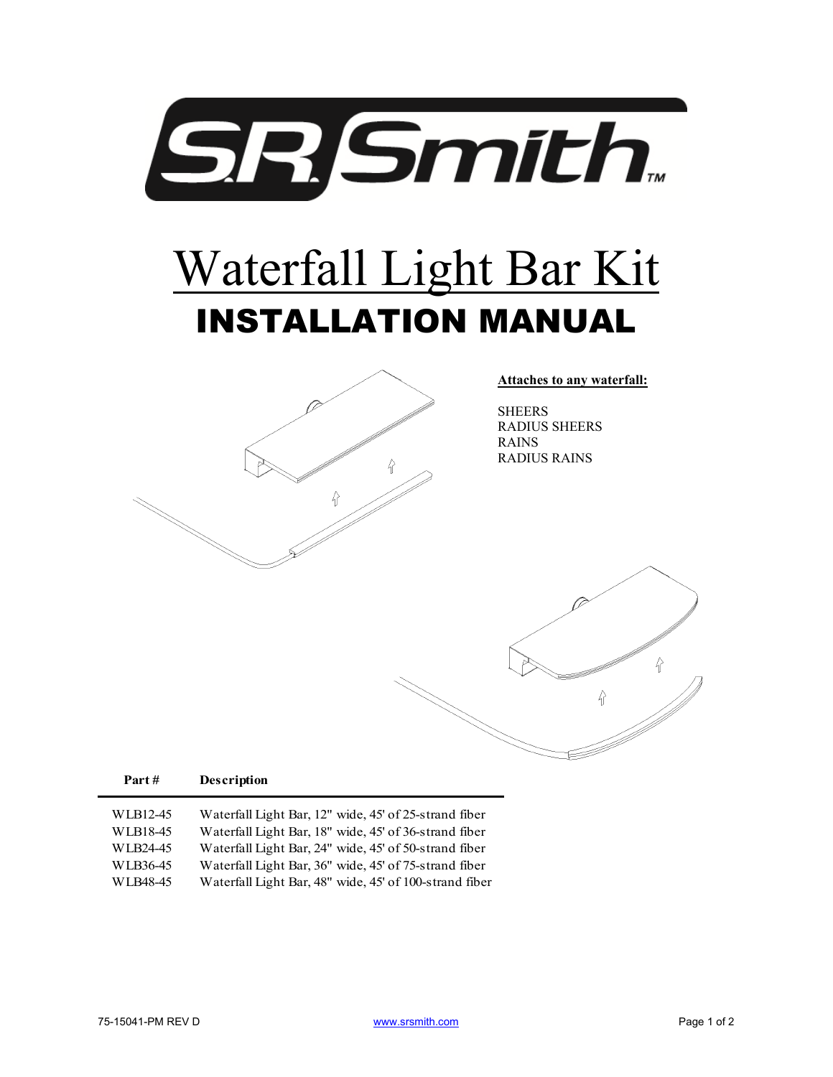

## Waterfall Light Bar Kit INSTALLATION MANUAL



**Attaches to any waterfall:** 

SHEERS RADIUS SHEERS RAINS RADIUS RAINS



| WLB12-45             | Waterfall Light Bar, 12" wide, 45' of 25-strand fiber                                                           |
|----------------------|-----------------------------------------------------------------------------------------------------------------|
| WLB18-45<br>WLB24-45 | Waterfall Light Bar, 18" wide, 45' of 36-strand fiber<br>Waterfall Light Bar, 24" wide, 45' of 50-strand fiber  |
| WLB36-45<br>WLB48-45 | Waterfall Light Bar, 36" wide, 45' of 75-strand fiber<br>Waterfall Light Bar, 48" wide, 45' of 100-strand fiber |
|                      |                                                                                                                 |

**Part # Description**